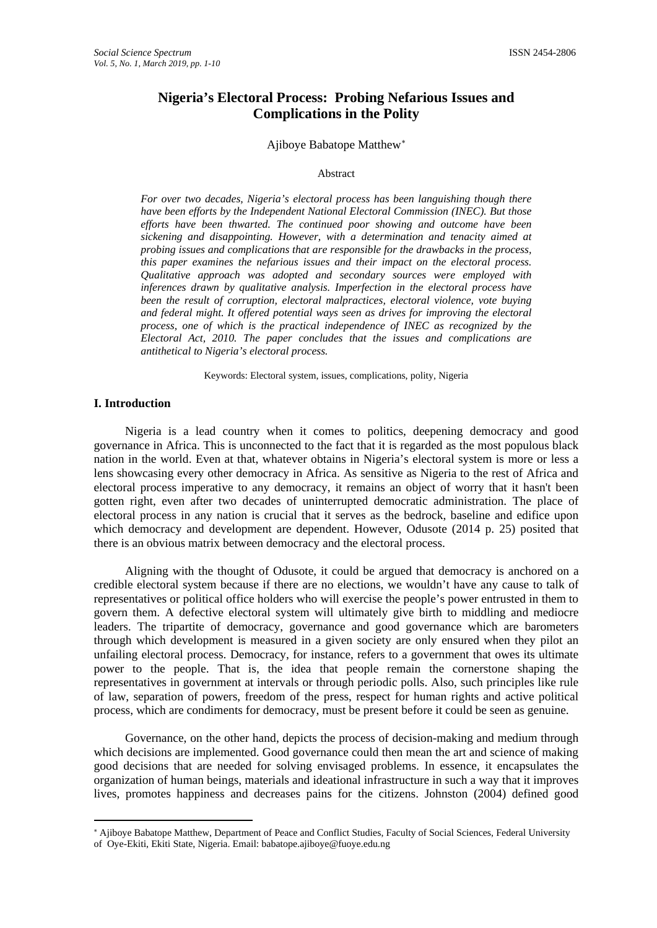# **Nigeria's Electoral Process: Probing Nefarious Issues and Complications in the Polity**

#### Ajiboye Babatope Matthew[∗](#page-0-0)

#### Abstract

*For over two decades, Nigeria's electoral process has been languishing though there have been efforts by the Independent National Electoral Commission (INEC). But those efforts have been thwarted. The continued poor showing and outcome have been sickening and disappointing. However, with a determination and tenacity aimed at probing issues and complications that are responsible for the drawbacks in the process, this paper examines the nefarious issues and their impact on the electoral process. Qualitative approach was adopted and secondary sources were employed with inferences drawn by qualitative analysis. Imperfection in the electoral process have been the result of corruption, electoral malpractices, electoral violence, vote buying and federal might. It offered potential ways seen as drives for improving the electoral process, one of which is the practical independence of INEC as recognized by the Electoral Act, 2010. The paper concludes that the issues and complications are antithetical to Nigeria's electoral process.*

Keywords: Electoral system, issues, complications, polity, Nigeria

# **I. Introduction**

l

Nigeria is a lead country when it comes to politics, deepening democracy and good governance in Africa. This is unconnected to the fact that it is regarded as the most populous black nation in the world. Even at that, whatever obtains in Nigeria's electoral system is more or less a lens showcasing every other democracy in Africa. As sensitive as Nigeria to the rest of Africa and electoral process imperative to any democracy, it remains an object of worry that it hasn't been gotten right, even after two decades of uninterrupted democratic administration. The place of electoral process in any nation is crucial that it serves as the bedrock, baseline and edifice upon which democracy and development are dependent. However, Odusote (2014 p. 25) posited that there is an obvious matrix between democracy and the electoral process.

Aligning with the thought of Odusote, it could be argued that democracy is anchored on a credible electoral system because if there are no elections, we wouldn't have any cause to talk of representatives or political office holders who will exercise the people's power entrusted in them to govern them. A defective electoral system will ultimately give birth to middling and mediocre leaders. The tripartite of democracy, governance and good governance which are barometers through which development is measured in a given society are only ensured when they pilot an unfailing electoral process. Democracy, for instance, refers to a government that owes its ultimate power to the people. That is, the idea that people remain the cornerstone shaping the representatives in government at intervals or through periodic polls. Also, such principles like rule of law, separation of powers, freedom of the press, respect for human rights and active political process, which are condiments for democracy, must be present before it could be seen as genuine.

Governance, on the other hand, depicts the process of decision-making and medium through which decisions are implemented. Good governance could then mean the art and science of making good decisions that are needed for solving envisaged problems. In essence, it encapsulates the organization of human beings, materials and ideational infrastructure in such a way that it improves lives, promotes happiness and decreases pains for the citizens. Johnston (2004) defined good

<span id="page-0-0"></span><sup>∗</sup> Ajiboye Babatope Matthew, Department of Peace and Conflict Studies, Faculty of Social Sciences, Federal University of Oye-Ekiti, Ekiti State, Nigeria. Email: babatope.ajiboye@fuoye.edu.ng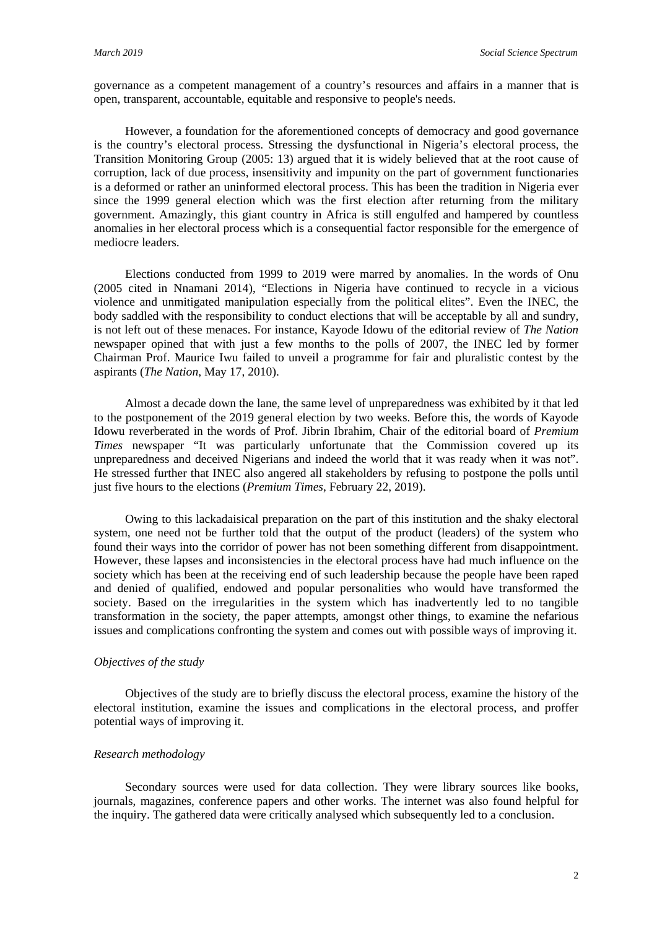governance as a competent management of a country's resources and affairs in a manner that is open, transparent, accountable, equitable and responsive to people's needs.

However, a foundation for the aforementioned concepts of democracy and good governance is the country's electoral process. Stressing the dysfunctional in Nigeria's electoral process, the Transition Monitoring Group (2005: 13) argued that it is widely believed that at the root cause of corruption, lack of due process, insensitivity and impunity on the part of government functionaries is a deformed or rather an uninformed electoral process. This has been the tradition in Nigeria ever since the 1999 general election which was the first election after returning from the military government. Amazingly, this giant country in Africa is still engulfed and hampered by countless anomalies in her electoral process which is a consequential factor responsible for the emergence of mediocre leaders.

Elections conducted from 1999 to 2019 were marred by anomalies. In the words of Onu (2005 cited in Nnamani 2014), "Elections in Nigeria have continued to recycle in a vicious violence and unmitigated manipulation especially from the political elites". Even the INEC, the body saddled with the responsibility to conduct elections that will be acceptable by all and sundry, is not left out of these menaces. For instance, Kayode Idowu of the editorial review of *The Nation* newspaper opined that with just a few months to the polls of 2007, the INEC led by former Chairman Prof. Maurice Iwu failed to unveil a programme for fair and pluralistic contest by the aspirants (*The Nation*, May 17, 2010).

Almost a decade down the lane, the same level of unpreparedness was exhibited by it that led to the postponement of the 2019 general election by two weeks. Before this, the words of Kayode Idowu reverberated in the words of Prof. Jibrin Ibrahim, Chair of the editorial board of *Premium Times* newspaper "It was particularly unfortunate that the Commission covered up its unpreparedness and deceived Nigerians and indeed the world that it was ready when it was not". He stressed further that INEC also angered all stakeholders by refusing to postpone the polls until just five hours to the elections (*Premium Times*, February 22, 2019).

Owing to this lackadaisical preparation on the part of this institution and the shaky electoral system, one need not be further told that the output of the product (leaders) of the system who found their ways into the corridor of power has not been something different from disappointment. However, these lapses and inconsistencies in the electoral process have had much influence on the society which has been at the receiving end of such leadership because the people have been raped and denied of qualified, endowed and popular personalities who would have transformed the society. Based on the irregularities in the system which has inadvertently led to no tangible transformation in the society, the paper attempts, amongst other things, to examine the nefarious issues and complications confronting the system and comes out with possible ways of improving it.

## *Objectives of the study*

Objectives of the study are to briefly discuss the electoral process, examine the history of the electoral institution, examine the issues and complications in the electoral process, and proffer potential ways of improving it.

# *Research methodology*

Secondary sources were used for data collection. They were library sources like books, journals, magazines, conference papers and other works. The internet was also found helpful for the inquiry. The gathered data were critically analysed which subsequently led to a conclusion.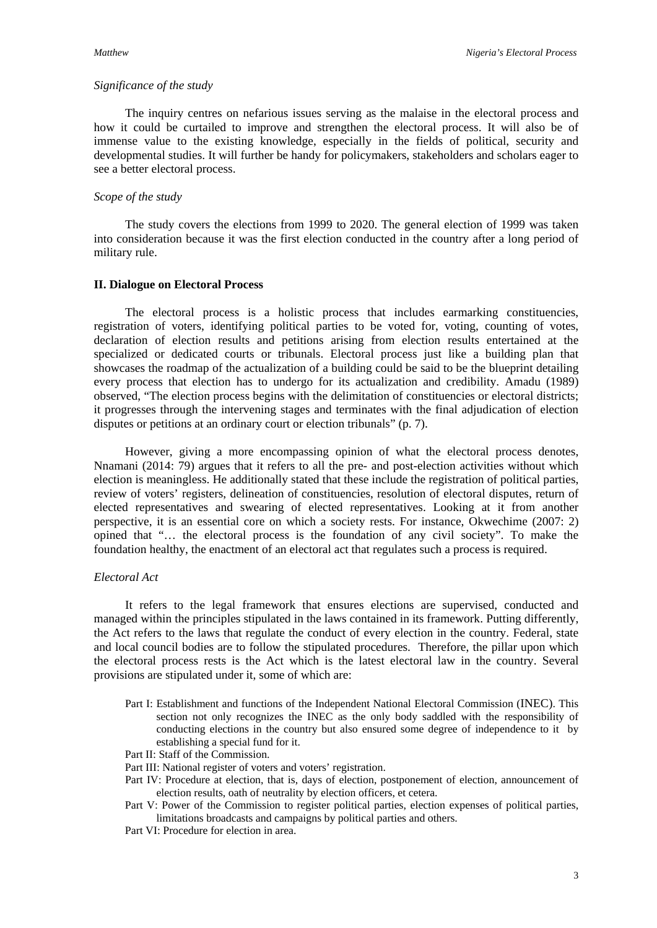#### *Significance of the study*

The inquiry centres on nefarious issues serving as the malaise in the electoral process and how it could be curtailed to improve and strengthen the electoral process. It will also be of immense value to the existing knowledge, especially in the fields of political, security and developmental studies. It will further be handy for policymakers, stakeholders and scholars eager to see a better electoral process.

#### *Scope of the study*

The study covers the elections from 1999 to 2020. The general election of 1999 was taken into consideration because it was the first election conducted in the country after a long period of military rule.

## **II. Dialogue on Electoral Process**

The electoral process is a holistic process that includes earmarking constituencies, registration of voters, identifying political parties to be voted for, voting, counting of votes, declaration of election results and petitions arising from election results entertained at the specialized or dedicated courts or tribunals. Electoral process just like a building plan that showcases the roadmap of the actualization of a building could be said to be the blueprint detailing every process that election has to undergo for its actualization and credibility. Amadu (1989) observed, "The election process begins with the delimitation of constituencies or electoral districts; it progresses through the intervening stages and terminates with the final adjudication of election disputes or petitions at an ordinary court or election tribunals" (p. 7).

However, giving a more encompassing opinion of what the electoral process denotes, Nnamani (2014: 79) argues that it refers to all the pre- and post-election activities without which election is meaningless. He additionally stated that these include the registration of political parties, review of voters' registers, delineation of constituencies, resolution of electoral disputes, return of elected representatives and swearing of elected representatives. Looking at it from another perspective, it is an essential core on which a society rests. For instance, Okwechime (2007: 2) opined that "… the electoral process is the foundation of any civil society". To make the foundation healthy, the enactment of an electoral act that regulates such a process is required.

# *Electoral Act*

It refers to the legal framework that ensures elections are supervised, conducted and managed within the principles stipulated in the laws contained in its framework. Putting differently, the Act refers to the laws that regulate the conduct of every election in the country. Federal, state and local council bodies are to follow the stipulated procedures. Therefore, the pillar upon which the electoral process rests is the Act which is the latest electoral law in the country. Several provisions are stipulated under it, some of which are:

- Part I: Establishment and functions of the Independent National Electoral Commission (INEC). This section not only recognizes the INEC as the only body saddled with the responsibility of conducting elections in the country but also ensured some degree of independence to it by establishing a special fund for it.
- Part II: Staff of the Commission.
- Part III: National register of voters and voters' registration.
- Part IV: Procedure at election, that is, days of election, postponement of election, announcement of election results, oath of neutrality by election officers, et cetera.
- Part V: Power of the Commission to register political parties, election expenses of political parties, limitations broadcasts and campaigns by political parties and others.
- Part VI: Procedure for election in area.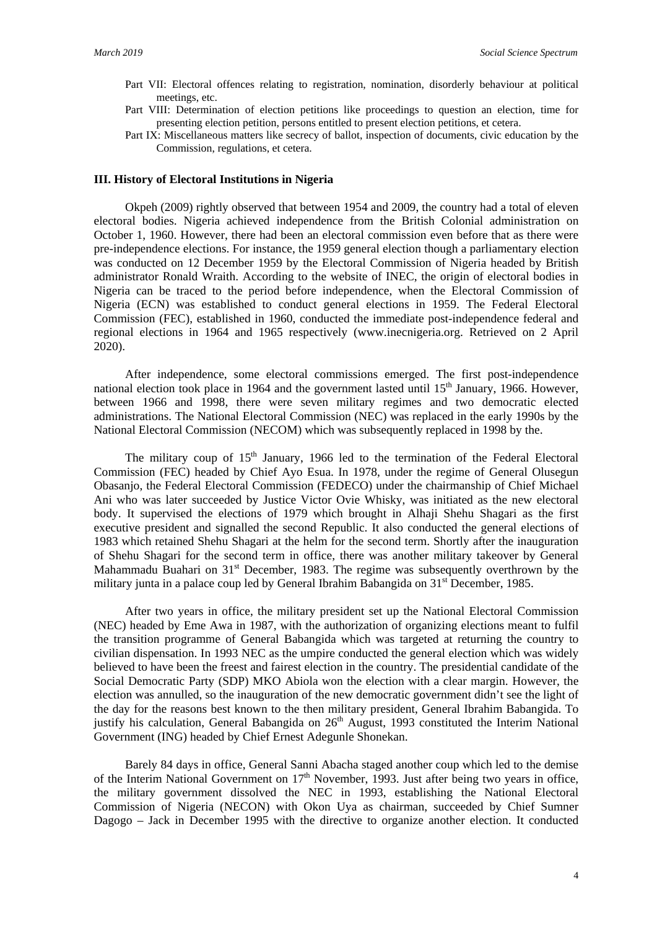- Part VII: Electoral offences relating to registration, nomination, disorderly behaviour at political meetings, etc.
- Part VIII: Determination of election petitions like proceedings to question an election, time for presenting election petition, persons entitled to present election petitions, et cetera.
- Part IX: Miscellaneous matters like secrecy of ballot, inspection of documents, civic education by the Commission, regulations, et cetera.

## **III. History of Electoral Institutions in Nigeria**

Okpeh (2009) rightly observed that between 1954 and 2009, the country had a total of eleven electoral bodies. Nigeria achieved independence from the British Colonial administration on October 1, 1960. However, there had been an electoral commission even before that as there were pre-independence elections. For instance, the 1959 general election though a parliamentary election was conducted on 12 December 1959 by the Electoral Commission of Nigeria headed by British administrator Ronald Wraith. According to the website of INEC, the origin of electoral bodies in Nigeria can be traced to the period before independence, when the Electoral Commission of Nigeria (ECN) was established to conduct general elections in 1959. The Federal Electoral Commission (FEC), established in 1960, conducted the immediate post-independence federal and regional elections in 1964 and 1965 respectively [\(www.inecnigeria.org.](http://www.inecnigeria.org/) Retrieved on 2 April 2020).

After independence, some electoral commissions emerged. The first post-independence national election took place in 1964 and the government lasted until 15<sup>th</sup> January, 1966. However, between 1966 and 1998, there were seven military regimes and two democratic elected administrations. The National Electoral Commission (NEC) was replaced in the early 1990s by the National Electoral Commission (NECOM) which was subsequently replaced in 1998 by the.

The military coup of  $15<sup>th</sup>$  January, 1966 led to the termination of the Federal Electoral Commission (FEC) headed by Chief Ayo Esua. In 1978, under the regime of General Olusegun Obasanjo, the Federal Electoral Commission (FEDECO) under the chairmanship of Chief Michael Ani who was later succeeded by Justice Victor Ovie Whisky, was initiated as the new electoral body. It supervised the elections of 1979 which brought in Alhaji Shehu Shagari as the first executive president and signalled the second Republic. It also conducted the general elections of 1983 which retained Shehu Shagari at the helm for the second term. Shortly after the inauguration of Shehu Shagari for the second term in office, there was another military takeover by General Mahammadu Buahari on 31<sup>st</sup> December, 1983. The regime was subsequently overthrown by the military junta in a palace coup led by General Ibrahim Babangida on 31<sup>st</sup> December, 1985.

After two years in office, the military president set up the National Electoral Commission (NEC) headed by Eme Awa in 1987, with the authorization of organizing elections meant to fulfil the transition programme of General Babangida which was targeted at returning the country to civilian dispensation. In 1993 NEC as the umpire conducted the general election which was widely believed to have been the freest and fairest election in the country. The presidential candidate of the Social Democratic Party (SDP) MKO Abiola won the election with a clear margin. However, the election was annulled, so the inauguration of the new democratic government didn't see the light of the day for the reasons best known to the then military president, General Ibrahim Babangida. To justify his calculation, General Babangida on  $26<sup>th</sup>$  August, 1993 constituted the Interim National Government (ING) headed by Chief Ernest Adegunle Shonekan.

Barely 84 days in office, General Sanni Abacha staged another coup which led to the demise of the Interim National Government on  $17<sup>th</sup>$  November, 1993. Just after being two years in office, the military government dissolved the NEC in 1993, establishing the National Electoral Commission of Nigeria (NECON) with Okon Uya as chairman, succeeded by Chief Sumner Dagogo – Jack in December 1995 with the directive to organize another election. It conducted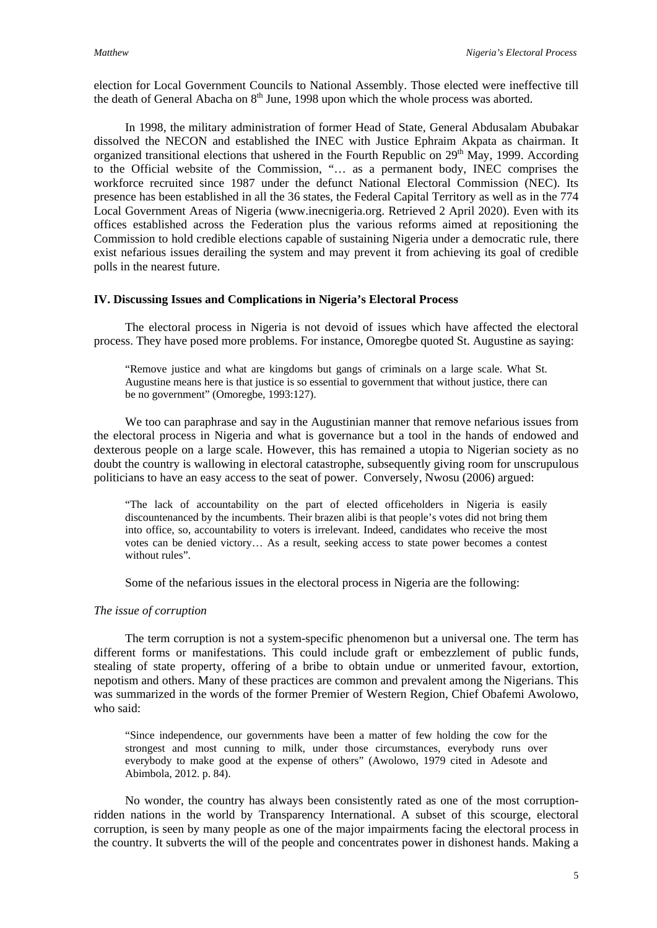election for Local Government Councils to National Assembly. Those elected were ineffective till the death of General Abacha on  $8<sup>th</sup>$  June, 1998 upon which the whole process was aborted.

In 1998, the military administration of former Head of State, General Abdusalam Abubakar dissolved the NECON and established the INEC with Justice Ephraim Akpata as chairman. It organized transitional elections that ushered in the Fourth Republic on 29<sup>th</sup> May, 1999. According to the Official website of the Commission, "… as a permanent body, INEC comprises the workforce recruited since 1987 under the defunct National Electoral Commission (NEC). Its presence has been established in all the 36 states, the Federal Capital Territory as well as in the 774 Local Government Areas of Nigeria [\(www.inecnigeria.org.](http://www.inecnigeria.org/) Retrieved 2 April 2020). Even with its offices established across the Federation plus the various reforms aimed at repositioning the Commission to hold credible elections capable of sustaining Nigeria under a democratic rule, there exist nefarious issues derailing the system and may prevent it from achieving its goal of credible polls in the nearest future.

# **IV. Discussing Issues and Complications in Nigeria's Electoral Process**

The electoral process in Nigeria is not devoid of issues which have affected the electoral process. They have posed more problems. For instance, Omoregbe quoted St. Augustine as saying:

"Remove justice and what are kingdoms but gangs of criminals on a large scale. What St. Augustine means here is that justice is so essential to government that without justice, there can be no government" (Omoregbe, 1993:127).

We too can paraphrase and say in the Augustinian manner that remove nefarious issues from the electoral process in Nigeria and what is governance but a tool in the hands of endowed and dexterous people on a large scale. However, this has remained a utopia to Nigerian society as no doubt the country is wallowing in electoral catastrophe, subsequently giving room for unscrupulous politicians to have an easy access to the seat of power. Conversely, Nwosu (2006) argued:

"The lack of accountability on the part of elected officeholders in Nigeria is easily discountenanced by the incumbents. Their brazen alibi is that people's votes did not bring them into office, so, accountability to voters is irrelevant. Indeed, candidates who receive the most votes can be denied victory… As a result, seeking access to state power becomes a contest without rules".

Some of the nefarious issues in the electoral process in Nigeria are the following:

# *The issue of corruption*

The term corruption is not a system-specific phenomenon but a universal one. The term has different forms or manifestations. This could include graft or embezzlement of public funds, stealing of state property, offering of a bribe to obtain undue or unmerited favour, extortion, nepotism and others. Many of these practices are common and prevalent among the Nigerians. This was summarized in the words of the former Premier of Western Region, Chief Obafemi Awolowo, who said:

"Since independence, our governments have been a matter of few holding the cow for the strongest and most cunning to milk, under those circumstances, everybody runs over everybody to make good at the expense of others" (Awolowo, 1979 cited in Adesote and Abimbola, 2012. p. 84).

No wonder, the country has always been consistently rated as one of the most corruptionridden nations in the world by Transparency International. A subset of this scourge, electoral corruption, is seen by many people as one of the major impairments facing the electoral process in the country. It subverts the will of the people and concentrates power in dishonest hands. Making a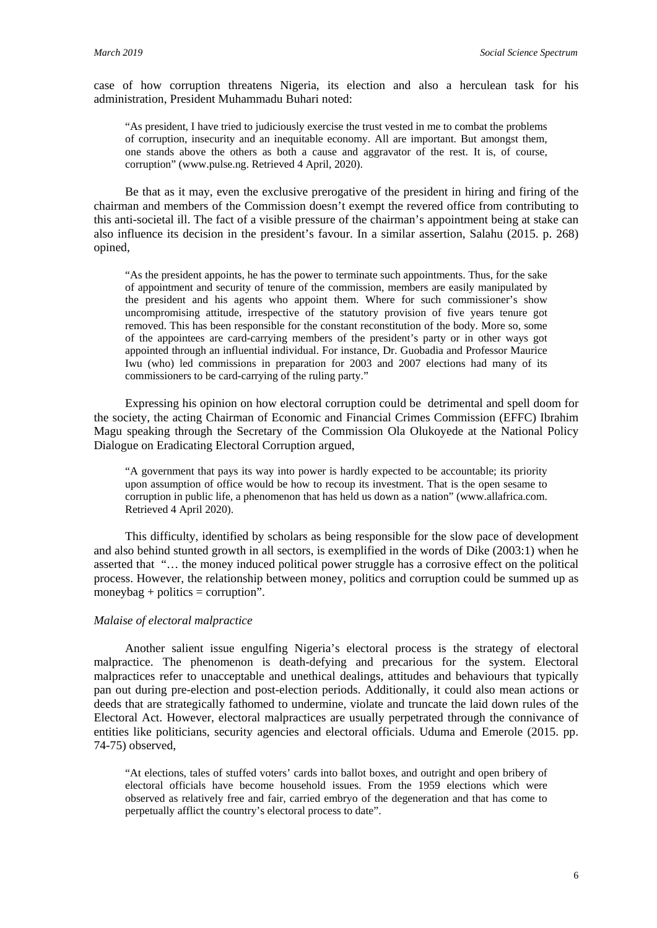case of how corruption threatens Nigeria, its election and also a herculean task for his administration, President Muhammadu Buhari noted:

"As president, I have tried to judiciously exercise the trust vested in me to combat the problems of corruption, insecurity and an inequitable economy. All are important. But amongst them, one stands above the others as both a cause and aggravator of the rest. It is, of course, corruption" [\(www.pulse.ng.](http://www.pulse.ng/) Retrieved 4 April, 2020).

Be that as it may, even the exclusive prerogative of the president in hiring and firing of the chairman and members of the Commission doesn't exempt the revered office from contributing to this anti-societal ill. The fact of a visible pressure of the chairman's appointment being at stake can also influence its decision in the president's favour. In a similar assertion, Salahu (2015. p. 268) opined,

"As the president appoints, he has the power to terminate such appointments. Thus, for the sake of appointment and security of tenure of the commission, members are easily manipulated by the president and his agents who appoint them. Where for such commissioner's show uncompromising attitude, irrespective of the statutory provision of five years tenure got removed. This has been responsible for the constant reconstitution of the body. More so, some of the appointees are card-carrying members of the president's party or in other ways got appointed through an influential individual. For instance, Dr. Guobadia and Professor Maurice Iwu (who) led commissions in preparation for 2003 and 2007 elections had many of its commissioners to be card-carrying of the ruling party."

Expressing his opinion on how electoral corruption could be detrimental and spell doom for the society, the acting Chairman of Economic and Financial Crimes Commission (EFFC) Ibrahim Magu speaking through the Secretary of the Commission Ola Olukoyede at the National Policy Dialogue on Eradicating Electoral Corruption argued,

"A government that pays its way into power is hardly expected to be accountable; its priority upon assumption of office would be how to recoup its investment. That is the open sesame to corruption in public life, a phenomenon that has held us down as a nation" [\(www.allafrica.com.](http://www.allafrica.com/) Retrieved 4 April 2020).

This difficulty, identified by scholars as being responsible for the slow pace of development and also behind stunted growth in all sectors, is exemplified in the words of Dike (2003:1) when he asserted that "… the money induced political power struggle has a corrosive effect on the political process. However, the relationship between money, politics and corruption could be summed up as moneybag + politics = corruption".

# *Malaise of electoral malpractice*

Another salient issue engulfing Nigeria's electoral process is the strategy of electoral malpractice. The phenomenon is death-defying and precarious for the system. Electoral malpractices refer to unacceptable and unethical dealings, attitudes and behaviours that typically pan out during pre-election and post-election periods. Additionally, it could also mean actions or deeds that are strategically fathomed to undermine, violate and truncate the laid down rules of the Electoral Act. However, electoral malpractices are usually perpetrated through the connivance of entities like politicians, security agencies and electoral officials. Uduma and Emerole (2015. pp. 74-75) observed,

"At elections, tales of stuffed voters' cards into ballot boxes, and outright and open bribery of electoral officials have become household issues. From the 1959 elections which were observed as relatively free and fair, carried embryo of the degeneration and that has come to perpetually afflict the country's electoral process to date".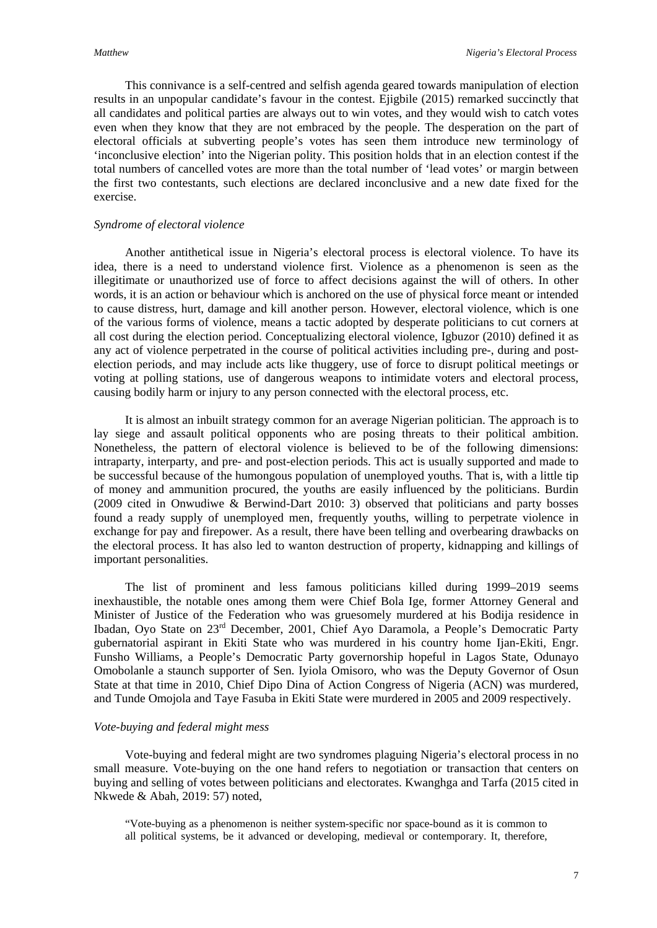This connivance is a self-centred and selfish agenda geared towards manipulation of election results in an unpopular candidate's favour in the contest. Ejigbile (2015) remarked succinctly that all candidates and political parties are always out to win votes, and they would wish to catch votes even when they know that they are not embraced by the people. The desperation on the part of electoral officials at subverting people's votes has seen them introduce new terminology of 'inconclusive election' into the Nigerian polity. This position holds that in an election contest if the total numbers of cancelled votes are more than the total number of 'lead votes' or margin between the first two contestants, such elections are declared inconclusive and a new date fixed for the exercise.

### *Syndrome of electoral violence*

Another antithetical issue in Nigeria's electoral process is electoral violence. To have its idea, there is a need to understand violence first. Violence as a phenomenon is seen as the illegitimate or unauthorized use of force to affect decisions against the will of others. In other words, it is an action or behaviour which is anchored on the use of physical force meant or intended to cause distress, hurt, damage and kill another person. However, electoral violence, which is one of the various forms of violence, means a tactic adopted by desperate politicians to cut corners at all cost during the election period. Conceptualizing electoral violence, Igbuzor (2010) defined it as any act of violence perpetrated in the course of political activities including pre-, during and postelection periods, and may include acts like thuggery, use of force to disrupt political meetings or voting at polling stations, use of dangerous weapons to intimidate voters and electoral process, causing bodily harm or injury to any person connected with the electoral process, etc.

It is almost an inbuilt strategy common for an average Nigerian politician. The approach is to lay siege and assault political opponents who are posing threats to their political ambition. Nonetheless, the pattern of electoral violence is believed to be of the following dimensions: intraparty, interparty, and pre- and post-election periods. This act is usually supported and made to be successful because of the humongous population of unemployed youths. That is, with a little tip of money and ammunition procured, the youths are easily influenced by the politicians. Burdin (2009 cited in Onwudiwe & Berwind-Dart 2010: 3) observed that politicians and party bosses found a ready supply of unemployed men, frequently youths, willing to perpetrate violence in exchange for pay and firepower. As a result, there have been telling and overbearing drawbacks on the electoral process. It has also led to wanton destruction of property, kidnapping and killings of important personalities.

The list of prominent and less famous politicians killed during 1999–2019 seems inexhaustible, the notable ones among them were Chief Bola Ige, former Attorney General and Minister of Justice of the Federation who was gruesomely murdered at his Bodija residence in Ibadan, Oyo State on 23rd December, 2001, Chief Ayo Daramola, a People's Democratic Party gubernatorial aspirant in Ekiti State who was murdered in his country home Ijan-Ekiti, Engr. Funsho Williams, a People's Democratic Party governorship hopeful in Lagos State, Odunayo Omobolanle a staunch supporter of Sen. Iyiola Omisoro, who was the Deputy Governor of Osun State at that time in 2010, Chief Dipo Dina of Action Congress of Nigeria (ACN) was murdered, and Tunde Omojola and Taye Fasuba in Ekiti State were murdered in 2005 and 2009 respectively.

#### *Vote-buying and federal might mess*

Vote-buying and federal might are two syndromes plaguing Nigeria's electoral process in no small measure. Vote-buying on the one hand refers to negotiation or transaction that centers on buying and selling of votes between politicians and electorates. Kwanghga and Tarfa (2015 cited in Nkwede & Abah, 2019: 57) noted,

"Vote-buying as a phenomenon is neither system-specific nor space-bound as it is common to all political systems, be it advanced or developing, medieval or contemporary. It, therefore,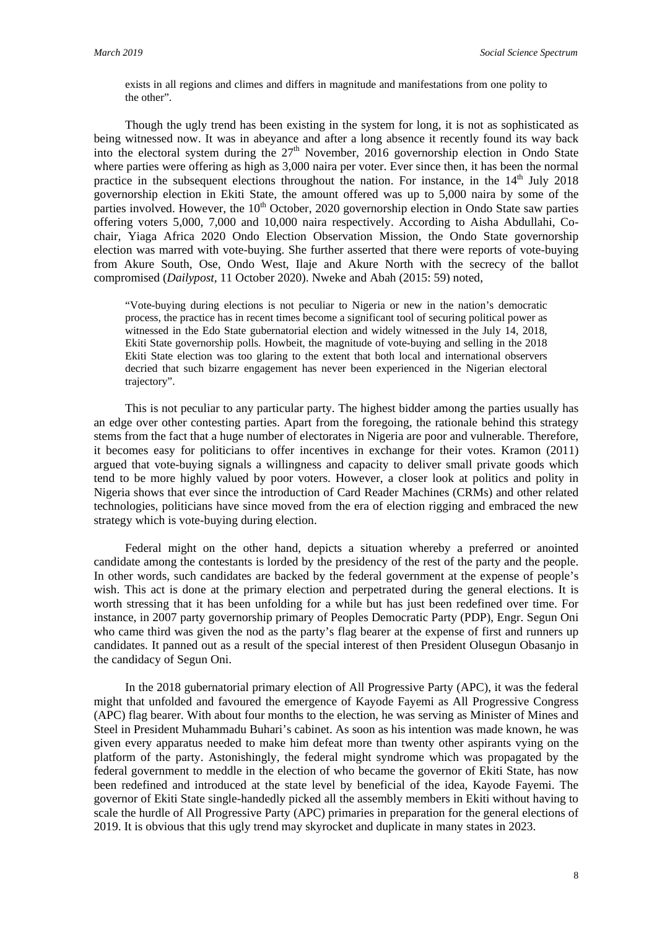exists in all regions and climes and differs in magnitude and manifestations from one polity to the other".

Though the ugly trend has been existing in the system for long, it is not as sophisticated as being witnessed now. It was in abeyance and after a long absence it recently found its way back into the electoral system during the  $27<sup>th</sup>$  November, 2016 governorship election in Ondo State where parties were offering as high as 3,000 naira per voter. Ever since then, it has been the normal practice in the subsequent elections throughout the nation. For instance, in the  $14<sup>th</sup>$  July 2018 governorship election in Ekiti State, the amount offered was up to 5,000 naira by some of the parties involved. However, the  $10<sup>th</sup>$  October, 2020 governorship election in Ondo State saw parties offering voters 5,000, 7,000 and 10,000 naira respectively. According to Aisha Abdullahi, Cochair, Yiaga Africa 2020 Ondo Election Observation Mission, the Ondo State governorship election was marred with vote-buying. She further asserted that there were reports of vote-buying from Akure South, Ose, Ondo West, Ilaje and Akure North with the secrecy of the ballot compromised (*Dailypost,* 11 October 2020). Nweke and Abah (2015: 59) noted,

"Vote-buying during elections is not peculiar to Nigeria or new in the nation's democratic process, the practice has in recent times become a significant tool of securing political power as witnessed in the Edo State gubernatorial election and widely witnessed in the July 14, 2018, Ekiti State governorship polls. Howbeit, the magnitude of vote-buying and selling in the 2018 Ekiti State election was too glaring to the extent that both local and international observers decried that such bizarre engagement has never been experienced in the Nigerian electoral trajectory".

This is not peculiar to any particular party. The highest bidder among the parties usually has an edge over other contesting parties. Apart from the foregoing, the rationale behind this strategy stems from the fact that a huge number of electorates in Nigeria are poor and vulnerable. Therefore, it becomes easy for politicians to offer incentives in exchange for their votes. Kramon (2011) argued that vote-buying signals a willingness and capacity to deliver small private goods which tend to be more highly valued by poor voters. However, a closer look at politics and polity in Nigeria shows that ever since the introduction of Card Reader Machines (CRMs) and other related technologies, politicians have since moved from the era of election rigging and embraced the new strategy which is vote-buying during election.

Federal might on the other hand, depicts a situation whereby a preferred or anointed candidate among the contestants is lorded by the presidency of the rest of the party and the people. In other words, such candidates are backed by the federal government at the expense of people's wish. This act is done at the primary election and perpetrated during the general elections. It is worth stressing that it has been unfolding for a while but has just been redefined over time. For instance, in 2007 party governorship primary of Peoples Democratic Party (PDP), Engr. Segun Oni who came third was given the nod as the party's flag bearer at the expense of first and runners up candidates. It panned out as a result of the special interest of then President Olusegun Obasanjo in the candidacy of Segun Oni.

In the 2018 gubernatorial primary election of All Progressive Party (APC), it was the federal might that unfolded and favoured the emergence of Kayode Fayemi as All Progressive Congress (APC) flag bearer. With about four months to the election, he was serving as Minister of Mines and Steel in President Muhammadu Buhari's cabinet. As soon as his intention was made known, he was given every apparatus needed to make him defeat more than twenty other aspirants vying on the platform of the party. Astonishingly, the federal might syndrome which was propagated by the federal government to meddle in the election of who became the governor of Ekiti State, has now been redefined and introduced at the state level by beneficial of the idea, Kayode Fayemi. The governor of Ekiti State single-handedly picked all the assembly members in Ekiti without having to scale the hurdle of All Progressive Party (APC) primaries in preparation for the general elections of 2019. It is obvious that this ugly trend may skyrocket and duplicate in many states in 2023.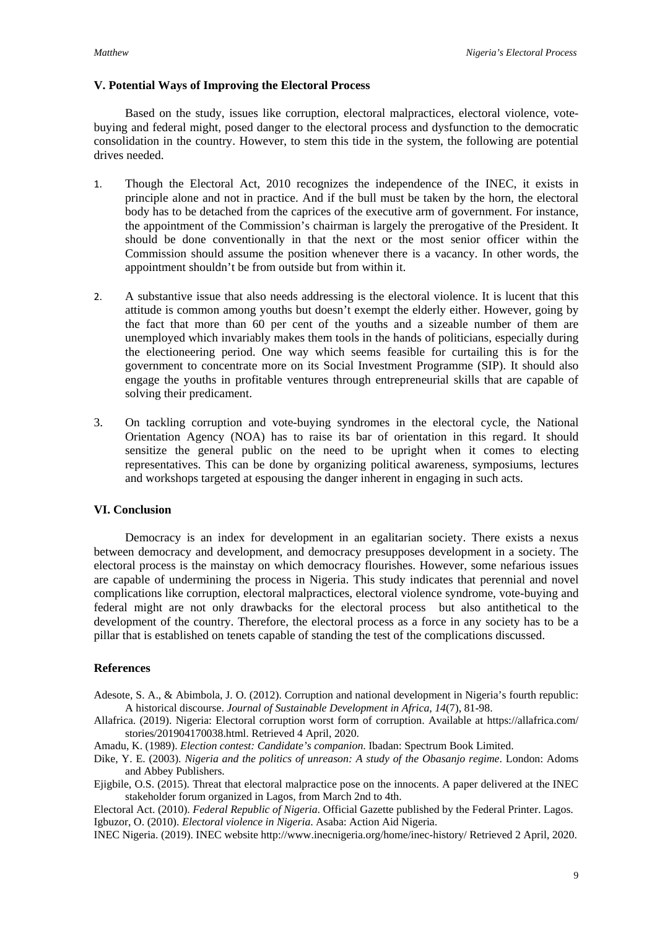# **V. Potential Ways of Improving the Electoral Process**

Based on the study, issues like corruption, electoral malpractices, electoral violence, votebuying and federal might, posed danger to the electoral process and dysfunction to the democratic consolidation in the country. However, to stem this tide in the system, the following are potential drives needed.

- 1. Though the Electoral Act, 2010 recognizes the independence of the INEC, it exists in principle alone and not in practice. And if the bull must be taken by the horn, the electoral body has to be detached from the caprices of the executive arm of government. For instance, the appointment of the Commission's chairman is largely the prerogative of the President. It should be done conventionally in that the next or the most senior officer within the Commission should assume the position whenever there is a vacancy. In other words, the appointment shouldn't be from outside but from within it.
- 2. A substantive issue that also needs addressing is the electoral violence. It is lucent that this attitude is common among youths but doesn't exempt the elderly either. However, going by the fact that more than 60 per cent of the youths and a sizeable number of them are unemployed which invariably makes them tools in the hands of politicians, especially during the electioneering period. One way which seems feasible for curtailing this is for the government to concentrate more on its Social Investment Programme (SIP). It should also engage the youths in profitable ventures through entrepreneurial skills that are capable of solving their predicament.
- 3. On tackling corruption and vote-buying syndromes in the electoral cycle, the National Orientation Agency (NOA) has to raise its bar of orientation in this regard. It should sensitize the general public on the need to be upright when it comes to electing representatives. This can be done by organizing political awareness, symposiums, lectures and workshops targeted at espousing the danger inherent in engaging in such acts.

# **VI. Conclusion**

Democracy is an index for development in an egalitarian society. There exists a nexus between democracy and development, and democracy presupposes development in a society. The electoral process is the mainstay on which democracy flourishes. However, some nefarious issues are capable of undermining the process in Nigeria. This study indicates that perennial and novel complications like corruption, electoral malpractices, electoral violence syndrome, vote-buying and federal might are not only drawbacks for the electoral process but also antithetical to the development of the country. Therefore, the electoral process as a force in any society has to be a pillar that is established on tenets capable of standing the test of the complications discussed.

# **References**

- Adesote, S. A., & Abimbola, J. O. (2012). Corruption and national development in Nigeria's fourth republic: A historical discourse. *Journal of Sustainable Development in Africa, 14*(7), 81-98.
- Allafrica. (2019). Nigeria: Electoral corruption worst form of corruption. Available at [https://allafrica.com/](https://allafrica.com/%20stories/)  [stories/2](https://allafrica.com/%20stories/)01904170038.html. Retrieved 4 April, 2020.
- Amadu, K. (1989). *Election contest: Candidate's companion*. Ibadan: Spectrum Book Limited.
- Dike, Y. E. (2003). *Nigeria and the politics of unreason: A study of the Obasanjo regime*. London: Adoms and Abbey Publishers.
- Ejigbile, O.S. (2015). Threat that electoral malpractice pose on the innocents. A paper delivered at the INEC stakeholder forum organized in Lagos, from March 2nd to 4th.

Electoral Act. (2010). *Federal Republic of Nigeria*. Official Gazette published by the Federal Printer. Lagos. Igbuzor, O. (2010). *Electoral violence in Nigeria*. Asaba: Action Aid Nigeria.

INEC Nigeria. (2019). INEC websit[e http://www.inecnigeria.org/home/inec-history/](http://www.inecnigeria.org/home/inec-history/) Retrieved 2 April, 2020.